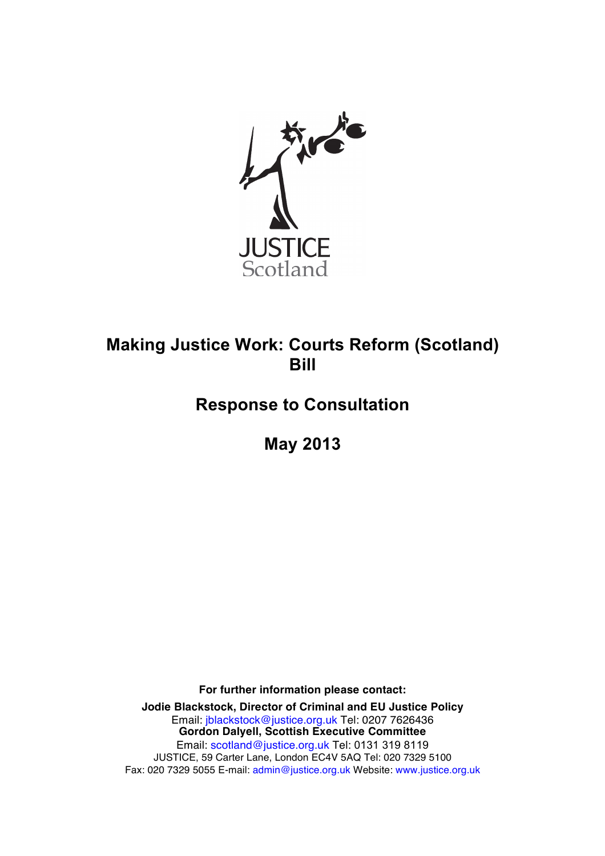

# **Making Justice Work: Courts Reform (Scotland) Bill**

# **Response to Consultation**

**May 2013**

**For further information please contact:**

**Jodie Blackstock, Director of Criminal and EU Justice Policy** Email: jblackstock@justice.org.uk Tel: 0207 7626436 **Gordon Dalyell, Scottish Executive Committee** Email: scotland@justice.org.uk Tel: 0131 319 8119 JUSTICE, 59 Carter Lane, London EC4V 5AQ Tel: 020 7329 5100 Fax: 020 7329 5055 E-mail: admin@justice.org.uk Website: www.justice.org.uk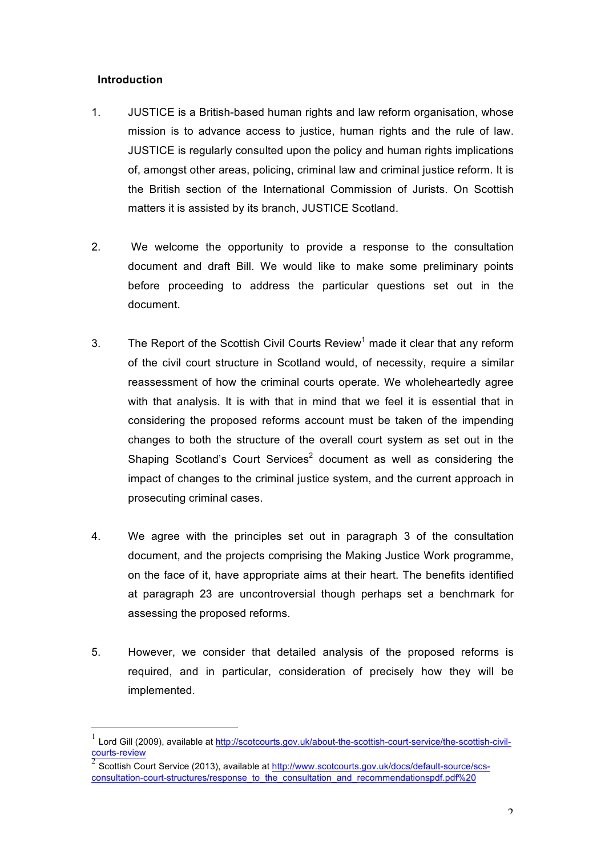# **Introduction**

- 1. JUSTICE is a British-based human rights and law reform organisation, whose mission is to advance access to justice, human rights and the rule of law. JUSTICE is regularly consulted upon the policy and human rights implications of, amongst other areas, policing, criminal law and criminal justice reform. It is the British section of the International Commission of Jurists. On Scottish matters it is assisted by its branch, JUSTICE Scotland.
- 2. We welcome the opportunity to provide a response to the consultation document and draft Bill. We would like to make some preliminary points before proceeding to address the particular questions set out in the document.
- 3. The Report of the Scottish Civil Courts Review<sup>1</sup> made it clear that any reform of the civil court structure in Scotland would, of necessity, require a similar reassessment of how the criminal courts operate. We wholeheartedly agree with that analysis. It is with that in mind that we feel it is essential that in considering the proposed reforms account must be taken of the impending changes to both the structure of the overall court system as set out in the Shaping Scotland's Court Services<sup>2</sup> document as well as considering the impact of changes to the criminal justice system, and the current approach in prosecuting criminal cases.
- 4. We agree with the principles set out in paragraph 3 of the consultation document, and the projects comprising the Making Justice Work programme, on the face of it, have appropriate aims at their heart. The benefits identified at paragraph 23 are uncontroversial though perhaps set a benchmark for assessing the proposed reforms.
- 5. However, we consider that detailed analysis of the proposed reforms is required, and in particular, consideration of precisely how they will be implemented.

 <sup>1</sup> Lord Gill (2009), available at http://scotcourts.gov.uk/about-the-scottish-court-service/the-scottish-civilcourts-review

<sup>2</sup> Scottish Court Service (2013), available at http://www.scotcourts.gov.uk/docs/default-source/scsconsultation-court-structures/response\_to\_the\_consultation\_and\_recommendationspdf.pdf%20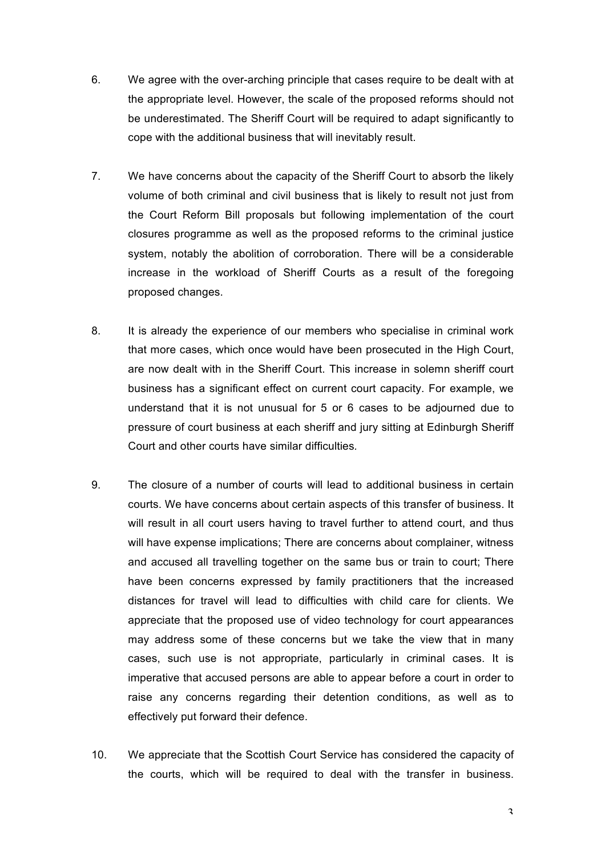- 6. We agree with the over-arching principle that cases require to be dealt with at the appropriate level. However, the scale of the proposed reforms should not be underestimated. The Sheriff Court will be required to adapt significantly to cope with the additional business that will inevitably result.
- 7. We have concerns about the capacity of the Sheriff Court to absorb the likely volume of both criminal and civil business that is likely to result not just from the Court Reform Bill proposals but following implementation of the court closures programme as well as the proposed reforms to the criminal justice system, notably the abolition of corroboration. There will be a considerable increase in the workload of Sheriff Courts as a result of the foregoing proposed changes.
- 8. It is already the experience of our members who specialise in criminal work that more cases, which once would have been prosecuted in the High Court, are now dealt with in the Sheriff Court. This increase in solemn sheriff court business has a significant effect on current court capacity. For example, we understand that it is not unusual for 5 or 6 cases to be adjourned due to pressure of court business at each sheriff and jury sitting at Edinburgh Sheriff Court and other courts have similar difficulties*.*
- 9. The closure of a number of courts will lead to additional business in certain courts. We have concerns about certain aspects of this transfer of business. It will result in all court users having to travel further to attend court, and thus will have expense implications; There are concerns about complainer, witness and accused all travelling together on the same bus or train to court; There have been concerns expressed by family practitioners that the increased distances for travel will lead to difficulties with child care for clients. We appreciate that the proposed use of video technology for court appearances may address some of these concerns but we take the view that in many cases, such use is not appropriate, particularly in criminal cases. It is imperative that accused persons are able to appear before a court in order to raise any concerns regarding their detention conditions, as well as to effectively put forward their defence.
- 10. We appreciate that the Scottish Court Service has considered the capacity of the courts, which will be required to deal with the transfer in business.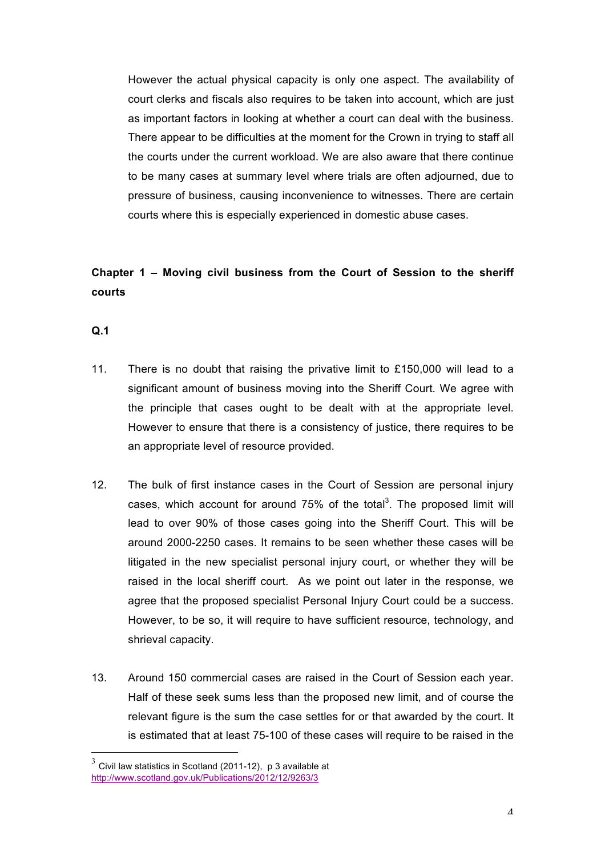However the actual physical capacity is only one aspect. The availability of court clerks and fiscals also requires to be taken into account, which are just as important factors in looking at whether a court can deal with the business. There appear to be difficulties at the moment for the Crown in trying to staff all the courts under the current workload. We are also aware that there continue to be many cases at summary level where trials are often adjourned, due to pressure of business, causing inconvenience to witnesses. There are certain courts where this is especially experienced in domestic abuse cases.

# **Chapter 1 – Moving civil business from the Court of Session to the sheriff courts**

- 11. There is no doubt that raising the privative limit to £150,000 will lead to a significant amount of business moving into the Sheriff Court. We agree with the principle that cases ought to be dealt with at the appropriate level. However to ensure that there is a consistency of justice, there requires to be an appropriate level of resource provided.
- 12. The bulk of first instance cases in the Court of Session are personal injury cases, which account for around 75% of the total<sup>3</sup>. The proposed limit will lead to over 90% of those cases going into the Sheriff Court. This will be around 2000-2250 cases. It remains to be seen whether these cases will be litigated in the new specialist personal injury court, or whether they will be raised in the local sheriff court. As we point out later in the response, we agree that the proposed specialist Personal Injury Court could be a success. However, to be so, it will require to have sufficient resource, technology, and shrieval capacity.
- 13. Around 150 commercial cases are raised in the Court of Session each year. Half of these seek sums less than the proposed new limit, and of course the relevant figure is the sum the case settles for or that awarded by the court. It is estimated that at least 75-100 of these cases will require to be raised in the

 $3$  Civil law statistics in Scotland (2011-12), p 3 available at http://www.scotland.gov.uk/Publications/2012/12/9263/3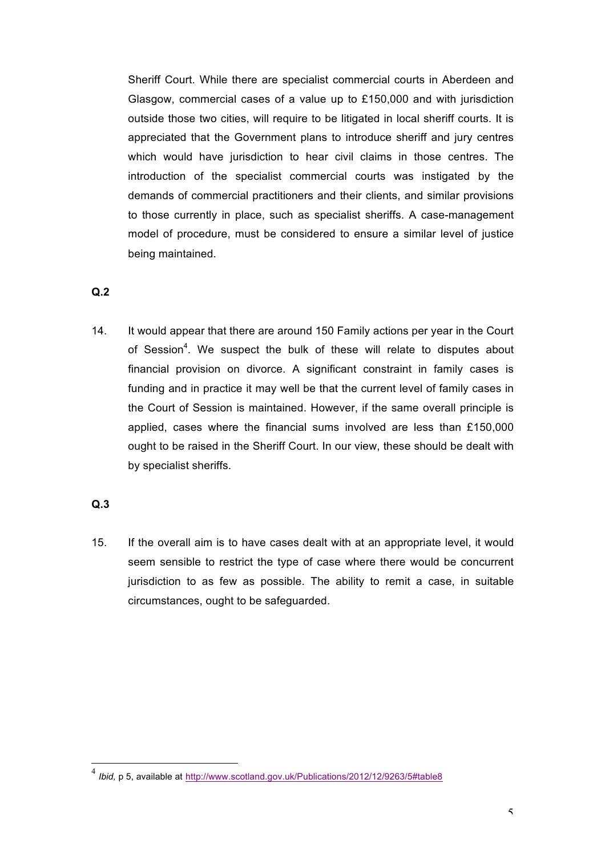Sheriff Court. While there are specialist commercial courts in Aberdeen and Glasgow, commercial cases of a value up to £150,000 and with jurisdiction outside those two cities, will require to be litigated in local sheriff courts. It is appreciated that the Government plans to introduce sheriff and jury centres which would have jurisdiction to hear civil claims in those centres. The introduction of the specialist commercial courts was instigated by the demands of commercial practitioners and their clients, and similar provisions to those currently in place, such as specialist sheriffs. A case-management model of procedure, must be considered to ensure a similar level of justice being maintained.

#### **Q.2**

14. It would appear that there are around 150 Family actions per year in the Court of Session<sup>4</sup>. We suspect the bulk of these will relate to disputes about financial provision on divorce. A significant constraint in family cases is funding and in practice it may well be that the current level of family cases in the Court of Session is maintained. However, if the same overall principle is applied, cases where the financial sums involved are less than £150,000 ought to be raised in the Sheriff Court. In our view, these should be dealt with by specialist sheriffs.

### **Q.3**

15. If the overall aim is to have cases dealt with at an appropriate level, it would seem sensible to restrict the type of case where there would be concurrent jurisdiction to as few as possible. The ability to remit a case, in suitable circumstances, ought to be safeguarded.

 <sup>4</sup> *Ibid,* p 5, available at http://www.scotland.gov.uk/Publications/2012/12/9263/5#table8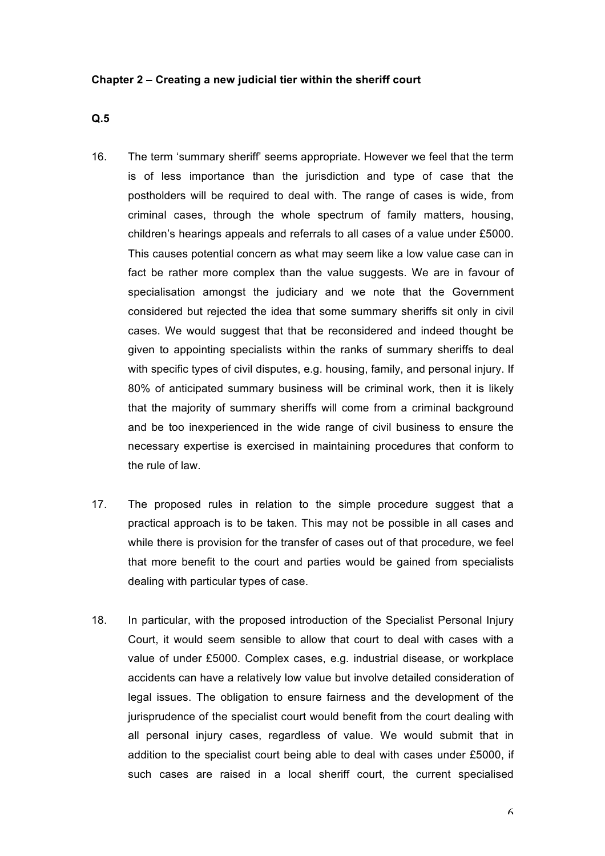#### **Chapter 2 – Creating a new judicial tier within the sheriff court**

- 16. The term 'summary sheriff' seems appropriate. However we feel that the term is of less importance than the jurisdiction and type of case that the postholders will be required to deal with. The range of cases is wide, from criminal cases, through the whole spectrum of family matters, housing, children's hearings appeals and referrals to all cases of a value under £5000. This causes potential concern as what may seem like a low value case can in fact be rather more complex than the value suggests. We are in favour of specialisation amongst the judiciary and we note that the Government considered but rejected the idea that some summary sheriffs sit only in civil cases. We would suggest that that be reconsidered and indeed thought be given to appointing specialists within the ranks of summary sheriffs to deal with specific types of civil disputes, e.g. housing, family, and personal injury. If 80% of anticipated summary business will be criminal work, then it is likely that the majority of summary sheriffs will come from a criminal background and be too inexperienced in the wide range of civil business to ensure the necessary expertise is exercised in maintaining procedures that conform to the rule of law.
- 17. The proposed rules in relation to the simple procedure suggest that a practical approach is to be taken. This may not be possible in all cases and while there is provision for the transfer of cases out of that procedure, we feel that more benefit to the court and parties would be gained from specialists dealing with particular types of case.
- 18. In particular, with the proposed introduction of the Specialist Personal Injury Court, it would seem sensible to allow that court to deal with cases with a value of under £5000. Complex cases, e.g. industrial disease, or workplace accidents can have a relatively low value but involve detailed consideration of legal issues. The obligation to ensure fairness and the development of the jurisprudence of the specialist court would benefit from the court dealing with all personal injury cases, regardless of value. We would submit that in addition to the specialist court being able to deal with cases under £5000, if such cases are raised in a local sheriff court, the current specialised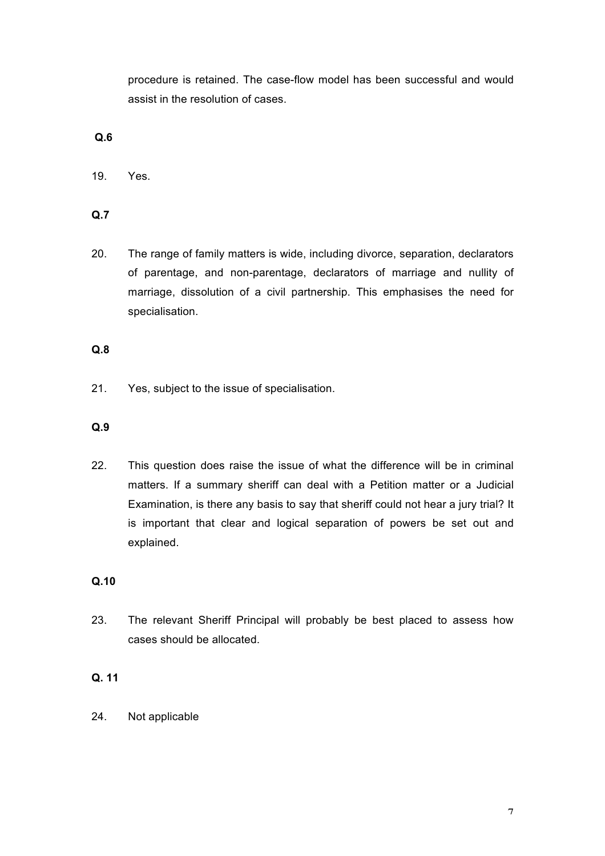procedure is retained. The case-flow model has been successful and would assist in the resolution of cases.

# **Q.6**

19. Yes.

**Q.7**

20. The range of family matters is wide, including divorce, separation, declarators of parentage, and non-parentage, declarators of marriage and nullity of marriage, dissolution of a civil partnership. This emphasises the need for specialisation.

# **Q.8**

21. Yes, subject to the issue of specialisation.

# **Q.9**

22. This question does raise the issue of what the difference will be in criminal matters. If a summary sheriff can deal with a Petition matter or a Judicial Examination, is there any basis to say that sheriff could not hear a jury trial? It is important that clear and logical separation of powers be set out and explained.

### **Q.10**

23. The relevant Sheriff Principal will probably be best placed to assess how cases should be allocated.

# **Q. 11**

24. Not applicable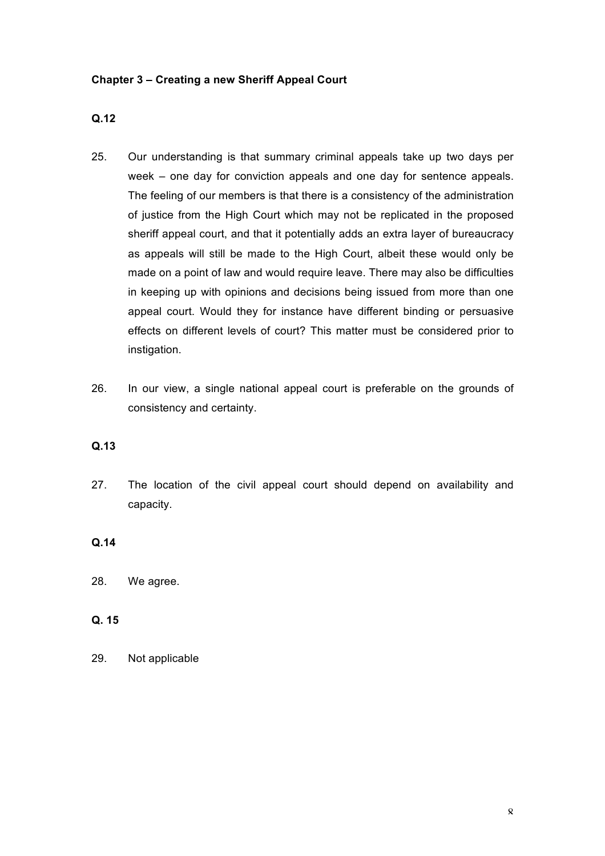### **Chapter 3 – Creating a new Sheriff Appeal Court**

# **Q.12**

- 25. Our understanding is that summary criminal appeals take up two days per week – one day for conviction appeals and one day for sentence appeals. The feeling of our members is that there is a consistency of the administration of justice from the High Court which may not be replicated in the proposed sheriff appeal court, and that it potentially adds an extra layer of bureaucracy as appeals will still be made to the High Court, albeit these would only be made on a point of law and would require leave. There may also be difficulties in keeping up with opinions and decisions being issued from more than one appeal court. Would they for instance have different binding or persuasive effects on different levels of court? This matter must be considered prior to instigation.
- 26. In our view, a single national appeal court is preferable on the grounds of consistency and certainty.

#### **Q.13**

27. The location of the civil appeal court should depend on availability and capacity.

#### **Q.14**

### **Q. 15**

29. Not applicable

<sup>28.</sup> We agree.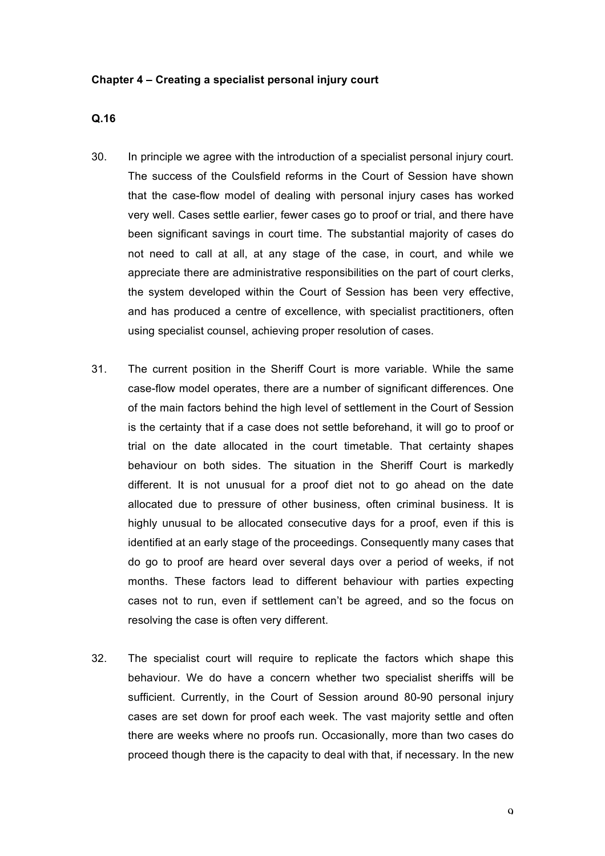#### **Chapter 4 – Creating a specialist personal injury court**

- 30. In principle we agree with the introduction of a specialist personal injury court. The success of the Coulsfield reforms in the Court of Session have shown that the case-flow model of dealing with personal injury cases has worked very well. Cases settle earlier, fewer cases go to proof or trial, and there have been significant savings in court time. The substantial majority of cases do not need to call at all, at any stage of the case, in court, and while we appreciate there are administrative responsibilities on the part of court clerks, the system developed within the Court of Session has been very effective, and has produced a centre of excellence, with specialist practitioners, often using specialist counsel, achieving proper resolution of cases.
- 31. The current position in the Sheriff Court is more variable. While the same case-flow model operates, there are a number of significant differences. One of the main factors behind the high level of settlement in the Court of Session is the certainty that if a case does not settle beforehand, it will go to proof or trial on the date allocated in the court timetable. That certainty shapes behaviour on both sides. The situation in the Sheriff Court is markedly different. It is not unusual for a proof diet not to go ahead on the date allocated due to pressure of other business, often criminal business. It is highly unusual to be allocated consecutive days for a proof, even if this is identified at an early stage of the proceedings. Consequently many cases that do go to proof are heard over several days over a period of weeks, if not months. These factors lead to different behaviour with parties expecting cases not to run, even if settlement can't be agreed, and so the focus on resolving the case is often very different.
- 32. The specialist court will require to replicate the factors which shape this behaviour. We do have a concern whether two specialist sheriffs will be sufficient. Currently, in the Court of Session around 80-90 personal injury cases are set down for proof each week. The vast majority settle and often there are weeks where no proofs run. Occasionally, more than two cases do proceed though there is the capacity to deal with that, if necessary. In the new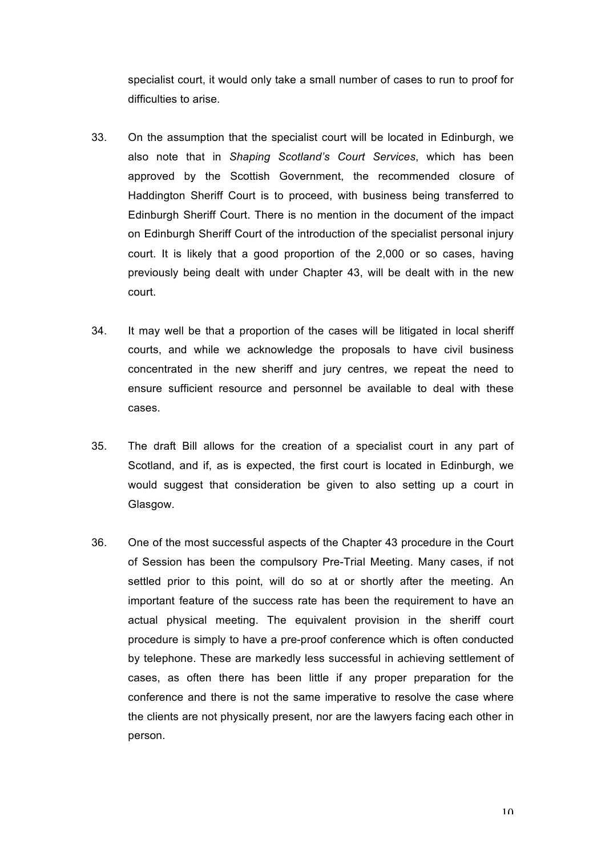specialist court, it would only take a small number of cases to run to proof for difficulties to arise.

- 33. On the assumption that the specialist court will be located in Edinburgh, we also note that in *Shaping Scotland's Court Services*, which has been approved by the Scottish Government, the recommended closure of Haddington Sheriff Court is to proceed, with business being transferred to Edinburgh Sheriff Court. There is no mention in the document of the impact on Edinburgh Sheriff Court of the introduction of the specialist personal injury court. It is likely that a good proportion of the 2,000 or so cases, having previously being dealt with under Chapter 43, will be dealt with in the new court.
- 34. It may well be that a proportion of the cases will be litigated in local sheriff courts, and while we acknowledge the proposals to have civil business concentrated in the new sheriff and jury centres, we repeat the need to ensure sufficient resource and personnel be available to deal with these cases.
- 35. The draft Bill allows for the creation of a specialist court in any part of Scotland, and if, as is expected, the first court is located in Edinburgh, we would suggest that consideration be given to also setting up a court in Glasgow.
- 36. One of the most successful aspects of the Chapter 43 procedure in the Court of Session has been the compulsory Pre-Trial Meeting. Many cases, if not settled prior to this point, will do so at or shortly after the meeting. An important feature of the success rate has been the requirement to have an actual physical meeting. The equivalent provision in the sheriff court procedure is simply to have a pre-proof conference which is often conducted by telephone. These are markedly less successful in achieving settlement of cases, as often there has been little if any proper preparation for the conference and there is not the same imperative to resolve the case where the clients are not physically present, nor are the lawyers facing each other in person.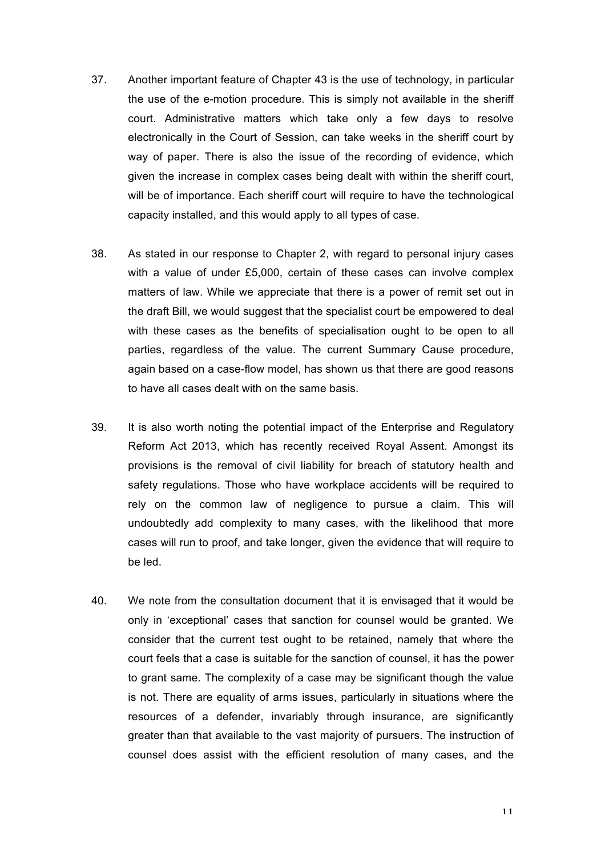- 37. Another important feature of Chapter 43 is the use of technology, in particular the use of the e-motion procedure. This is simply not available in the sheriff court. Administrative matters which take only a few days to resolve electronically in the Court of Session, can take weeks in the sheriff court by way of paper. There is also the issue of the recording of evidence, which given the increase in complex cases being dealt with within the sheriff court, will be of importance. Each sheriff court will require to have the technological capacity installed, and this would apply to all types of case.
- 38. As stated in our response to Chapter 2, with regard to personal injury cases with a value of under £5,000, certain of these cases can involve complex matters of law. While we appreciate that there is a power of remit set out in the draft Bill, we would suggest that the specialist court be empowered to deal with these cases as the benefits of specialisation ought to be open to all parties, regardless of the value. The current Summary Cause procedure, again based on a case-flow model, has shown us that there are good reasons to have all cases dealt with on the same basis.
- 39. It is also worth noting the potential impact of the Enterprise and Regulatory Reform Act 2013, which has recently received Royal Assent. Amongst its provisions is the removal of civil liability for breach of statutory health and safety regulations. Those who have workplace accidents will be required to rely on the common law of negligence to pursue a claim. This will undoubtedly add complexity to many cases, with the likelihood that more cases will run to proof, and take longer, given the evidence that will require to be led.
- 40. We note from the consultation document that it is envisaged that it would be only in 'exceptional' cases that sanction for counsel would be granted. We consider that the current test ought to be retained, namely that where the court feels that a case is suitable for the sanction of counsel, it has the power to grant same. The complexity of a case may be significant though the value is not. There are equality of arms issues, particularly in situations where the resources of a defender, invariably through insurance, are significantly greater than that available to the vast majority of pursuers. The instruction of counsel does assist with the efficient resolution of many cases, and the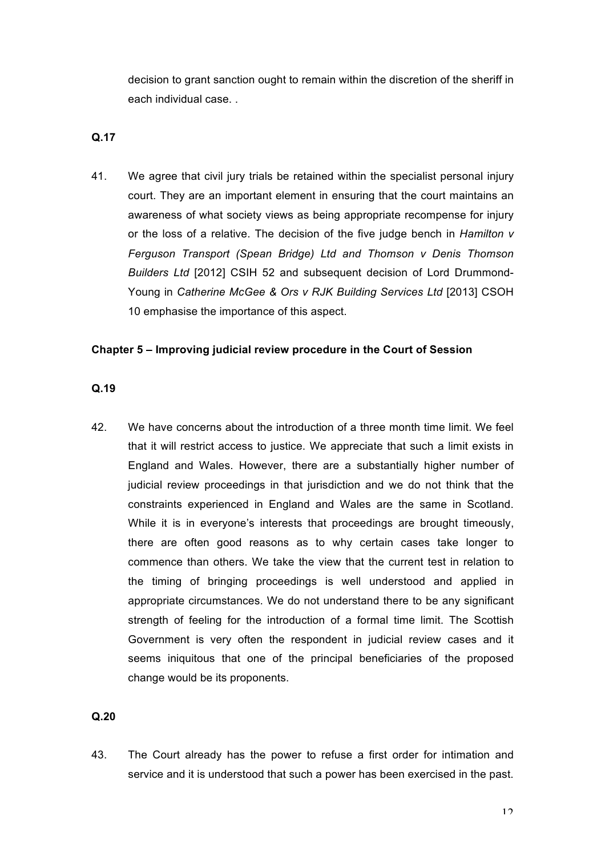decision to grant sanction ought to remain within the discretion of the sheriff in each individual case. .

#### **Q.17**

41. We agree that civil jury trials be retained within the specialist personal injury court. They are an important element in ensuring that the court maintains an awareness of what society views as being appropriate recompense for injury or the loss of a relative. The decision of the five judge bench in *Hamilton v Ferguson Transport (Spean Bridge) Ltd and Thomson v Denis Thomson Builders Ltd* [2012] CSIH 52 and subsequent decision of Lord Drummond-Young in *Catherine McGee & Ors v RJK Building Services Ltd* [2013] CSOH 10 emphasise the importance of this aspect.

#### **Chapter 5 – Improving judicial review procedure in the Court of Session**

#### **Q.19**

42. We have concerns about the introduction of a three month time limit. We feel that it will restrict access to justice. We appreciate that such a limit exists in England and Wales. However, there are a substantially higher number of judicial review proceedings in that jurisdiction and we do not think that the constraints experienced in England and Wales are the same in Scotland. While it is in everyone's interests that proceedings are brought timeously, there are often good reasons as to why certain cases take longer to commence than others. We take the view that the current test in relation to the timing of bringing proceedings is well understood and applied in appropriate circumstances. We do not understand there to be any significant strength of feeling for the introduction of a formal time limit. The Scottish Government is very often the respondent in judicial review cases and it seems iniquitous that one of the principal beneficiaries of the proposed change would be its proponents.

#### **Q.20**

43. The Court already has the power to refuse a first order for intimation and service and it is understood that such a power has been exercised in the past.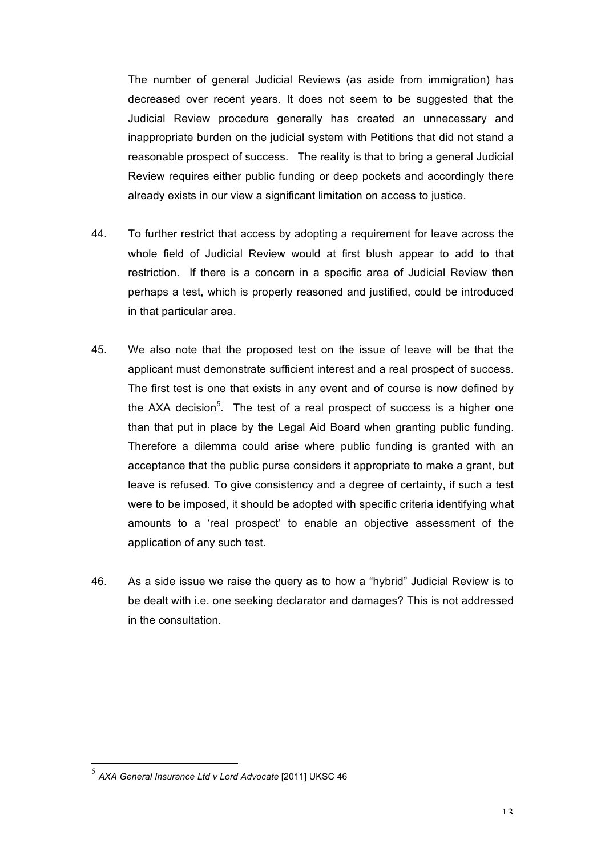The number of general Judicial Reviews (as aside from immigration) has decreased over recent years. It does not seem to be suggested that the Judicial Review procedure generally has created an unnecessary and inappropriate burden on the judicial system with Petitions that did not stand a reasonable prospect of success. The reality is that to bring a general Judicial Review requires either public funding or deep pockets and accordingly there already exists in our view a significant limitation on access to justice.

- 44. To further restrict that access by adopting a requirement for leave across the whole field of Judicial Review would at first blush appear to add to that restriction. If there is a concern in a specific area of Judicial Review then perhaps a test, which is properly reasoned and justified, could be introduced in that particular area.
- 45. We also note that the proposed test on the issue of leave will be that the applicant must demonstrate sufficient interest and a real prospect of success. The first test is one that exists in any event and of course is now defined by the AXA decision<sup>5</sup>. The test of a real prospect of success is a higher one than that put in place by the Legal Aid Board when granting public funding. Therefore a dilemma could arise where public funding is granted with an acceptance that the public purse considers it appropriate to make a grant, but leave is refused. To give consistency and a degree of certainty, if such a test were to be imposed, it should be adopted with specific criteria identifying what amounts to a 'real prospect' to enable an objective assessment of the application of any such test.
- 46. As a side issue we raise the query as to how a "hybrid" Judicial Review is to be dealt with i.e. one seeking declarator and damages? This is not addressed in the consultation.

 <sup>5</sup> *AXA General Insurance Ltd v Lord Advocate* [2011] UKSC 46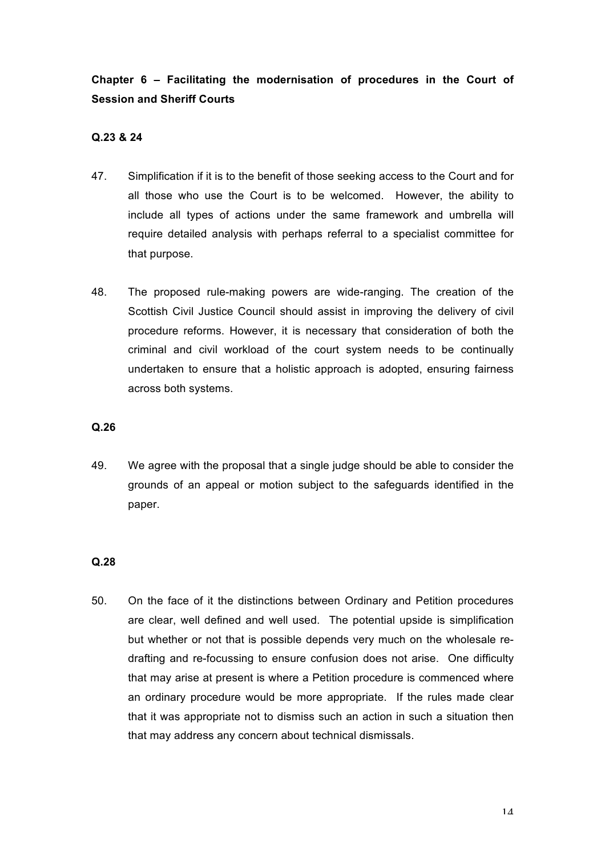**Chapter 6 – Facilitating the modernisation of procedures in the Court of Session and Sheriff Courts**

# **Q.23 & 24**

- 47. Simplification if it is to the benefit of those seeking access to the Court and for all those who use the Court is to be welcomed. However, the ability to include all types of actions under the same framework and umbrella will require detailed analysis with perhaps referral to a specialist committee for that purpose.
- 48. The proposed rule-making powers are wide-ranging. The creation of the Scottish Civil Justice Council should assist in improving the delivery of civil procedure reforms. However, it is necessary that consideration of both the criminal and civil workload of the court system needs to be continually undertaken to ensure that a holistic approach is adopted, ensuring fairness across both systems.

### **Q.26**

49. We agree with the proposal that a single judge should be able to consider the grounds of an appeal or motion subject to the safeguards identified in the paper.

### **Q.28**

50. On the face of it the distinctions between Ordinary and Petition procedures are clear, well defined and well used. The potential upside is simplification but whether or not that is possible depends very much on the wholesale redrafting and re-focussing to ensure confusion does not arise. One difficulty that may arise at present is where a Petition procedure is commenced where an ordinary procedure would be more appropriate. If the rules made clear that it was appropriate not to dismiss such an action in such a situation then that may address any concern about technical dismissals.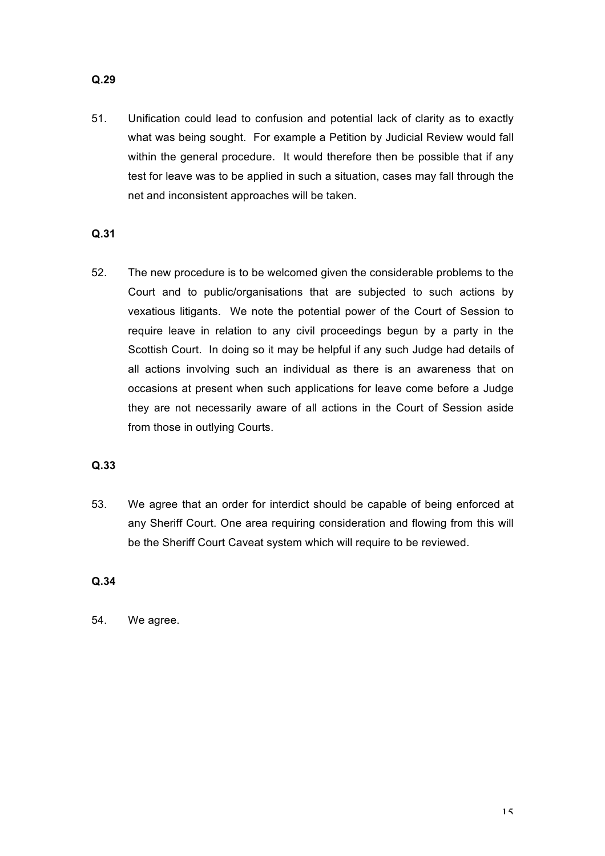51. Unification could lead to confusion and potential lack of clarity as to exactly what was being sought. For example a Petition by Judicial Review would fall within the general procedure. It would therefore then be possible that if any test for leave was to be applied in such a situation, cases may fall through the net and inconsistent approaches will be taken.

# **Q.31**

52. The new procedure is to be welcomed given the considerable problems to the Court and to public/organisations that are subjected to such actions by vexatious litigants. We note the potential power of the Court of Session to require leave in relation to any civil proceedings begun by a party in the Scottish Court. In doing so it may be helpful if any such Judge had details of all actions involving such an individual as there is an awareness that on occasions at present when such applications for leave come before a Judge they are not necessarily aware of all actions in the Court of Session aside from those in outlying Courts.

### **Q.33**

53. We agree that an order for interdict should be capable of being enforced at any Sheriff Court. One area requiring consideration and flowing from this will be the Sheriff Court Caveat system which will require to be reviewed.

### **Q.34**

54. We agree.